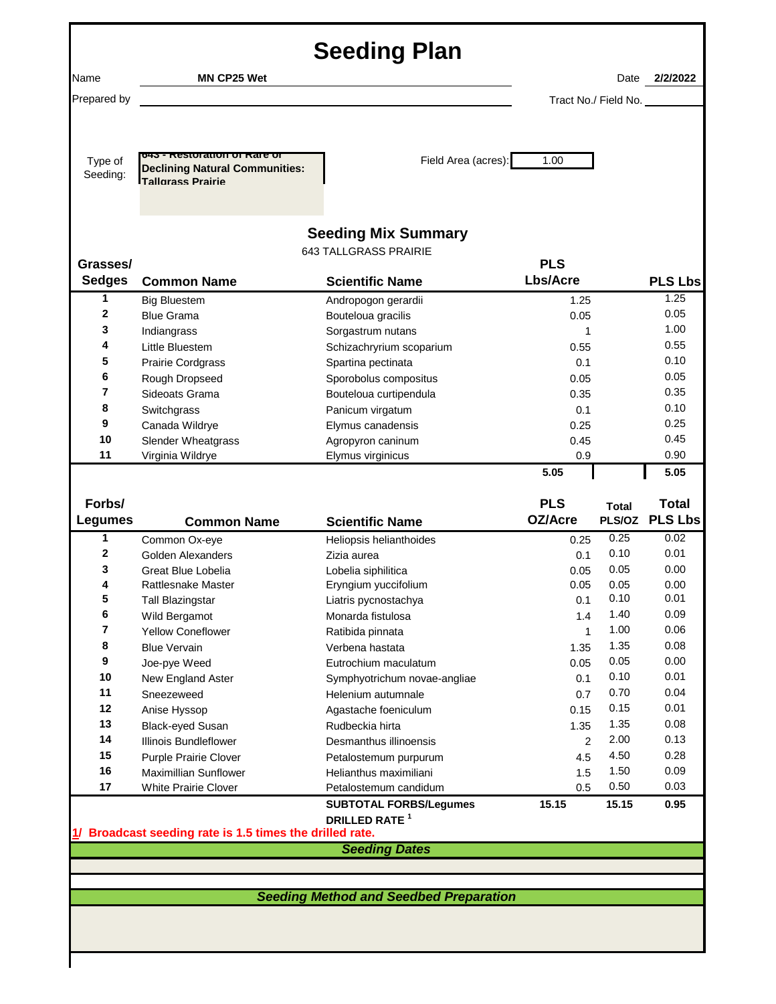| <b>Seeding Plan</b> |                                                                                                    |                                                            |                        |                      |                |
|---------------------|----------------------------------------------------------------------------------------------------|------------------------------------------------------------|------------------------|----------------------|----------------|
| Name                | <b>MN CP25 Wet</b>                                                                                 |                                                            |                        | Date                 | 2/2/2022       |
| Prepared by         |                                                                                                    |                                                            |                        | Tract No./ Field No. |                |
|                     |                                                                                                    |                                                            |                        |                      |                |
| Type of<br>Seeding: | 045 - RESIOI AUDII OF RAFE OF<br><b>Declining Natural Communities:</b><br><b>Tallorass Prairie</b> | Field Area (acres):                                        | 1.00                   |                      |                |
| Grasses/            |                                                                                                    | <b>Seeding Mix Summary</b><br><b>643 TALLGRASS PRAIRIE</b> | <b>PLS</b>             |                      |                |
| <b>Sedges</b>       | <b>Common Name</b>                                                                                 | <b>Scientific Name</b>                                     | <b>Lbs/Acre</b>        |                      | <b>PLS Lbs</b> |
| 1                   | <b>Big Bluestem</b>                                                                                | Andropogon gerardii                                        | 1.25                   |                      | 1.25           |
| 2                   | <b>Blue Grama</b>                                                                                  | Bouteloua gracilis                                         | 0.05                   |                      | 0.05           |
| 3                   | Indiangrass                                                                                        | Sorgastrum nutans                                          | 1                      |                      | 1.00           |
| 4                   | Little Bluestem                                                                                    | Schizachryrium scoparium                                   | 0.55                   |                      | 0.55           |
| 5                   | Prairie Cordgrass                                                                                  | Spartina pectinata                                         | 0.1                    |                      | 0.10           |
| 6                   | Rough Dropseed                                                                                     | Sporobolus compositus                                      | 0.05                   |                      | 0.05           |
| 7<br>8              | Sideoats Grama                                                                                     | Bouteloua curtipendula                                     | 0.35                   |                      | 0.35<br>0.10   |
| 9                   | Switchgrass                                                                                        | Panicum virgatum                                           | 0.1                    |                      | 0.25           |
| 10                  | Canada Wildrye<br>Slender Wheatgrass                                                               | Elymus canadensis<br>Agropyron caninum                     | 0.25<br>0.45           |                      | 0.45           |
| 11                  | Virginia Wildrye                                                                                   | Elymus virginicus                                          | 0.9                    |                      | 0.90           |
|                     |                                                                                                    |                                                            | 5.05                   |                      | 5.05           |
|                     |                                                                                                    |                                                            |                        |                      |                |
| Forbs/              |                                                                                                    |                                                            | <b>PLS</b>             | <b>Total</b>         | <b>Total</b>   |
|                     |                                                                                                    |                                                            |                        |                      |                |
| <b>Legumes</b>      | <b>Common Name</b>                                                                                 | <b>Scientific Name</b>                                     | OZ/Acre                |                      |                |
| 1                   | Common Ox-eye                                                                                      | Heliopsis helianthoides                                    | 0.25                   | 0.25                 | 0.02           |
| 2                   | Golden Alexanders                                                                                  | Zizia aurea                                                | 0.1                    | 0.10                 | 0.01           |
| 3                   | Great Blue Lobelia                                                                                 | Lobelia siphilitica                                        | 0.05                   | 0.05                 | 0.00           |
| 4                   | Rattlesnake Master                                                                                 | Eryngium yuccifolium                                       | 0.05                   | 0.05                 | 0.00           |
| 5                   | <b>Tall Blazingstar</b>                                                                            | Liatris pycnostachya                                       | 0.1                    | 0.10                 | 0.01           |
| 6                   | Wild Bergamot                                                                                      | Monarda fistulosa                                          | 1.4                    | 1.40                 | 0.09           |
| 7                   | <b>Yellow Coneflower</b>                                                                           | Ratibida pinnata                                           | 1                      | 1.00                 | 0.06           |
| 8                   | <b>Blue Vervain</b>                                                                                | Verbena hastata                                            | 1.35                   | 1.35                 | 0.08           |
| 9                   | Joe-pye Weed                                                                                       | Eutrochium maculatum                                       | 0.05                   | 0.05                 | 0.00           |
| 10<br>11            | New England Aster                                                                                  | Symphyotrichum novae-angliae                               | 0.1                    | 0.10<br>0.70         | 0.01<br>0.04   |
| 12                  | Sneezeweed                                                                                         | Helenium autumnale                                         | 0.7                    | 0.15                 | 0.01           |
| 13                  | Anise Hyssop                                                                                       | Agastache foeniculum<br>Rudbeckia hirta                    | 0.15                   | 1.35                 | 0.08           |
| 14                  | Black-eyed Susan<br><b>Illinois Bundleflower</b>                                                   | Desmanthus illinoensis                                     | 1.35<br>$\overline{2}$ | 2.00                 | 0.13           |
| 15                  | Purple Prairie Clover                                                                              | Petalostemum purpurum                                      | 4.5                    | 4.50                 | 0.28           |
| 16                  | <b>Maximillian Sunflower</b>                                                                       | Helianthus maximiliani                                     | 1.5                    | 1.50                 | 0.09           |
| 17                  | <b>White Prairie Clover</b>                                                                        | Petalostemum candidum                                      | 0.5                    | 0.50                 | 0.03           |
|                     |                                                                                                    | <b>SUBTOTAL FORBS/Legumes</b>                              | 15.15                  | 15.15                | 0.95           |
|                     |                                                                                                    | DRILLED RATE <sup>1</sup>                                  |                        |                      |                |
|                     | 1/ Broadcast seeding rate is 1.5 times the drilled rate.                                           |                                                            |                        |                      |                |
|                     |                                                                                                    | <b>Seeding Dates</b>                                       |                        |                      |                |
|                     |                                                                                                    |                                                            |                        |                      |                |
|                     |                                                                                                    |                                                            |                        |                      |                |
|                     |                                                                                                    | <b>Seeding Method and Seedbed Preparation</b>              |                        |                      |                |
|                     |                                                                                                    |                                                            |                        |                      |                |
|                     |                                                                                                    |                                                            |                        |                      | PLS/OZ PLS Lbs |